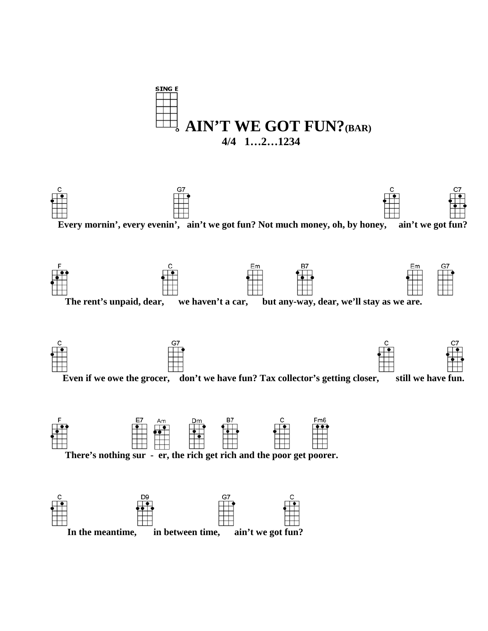